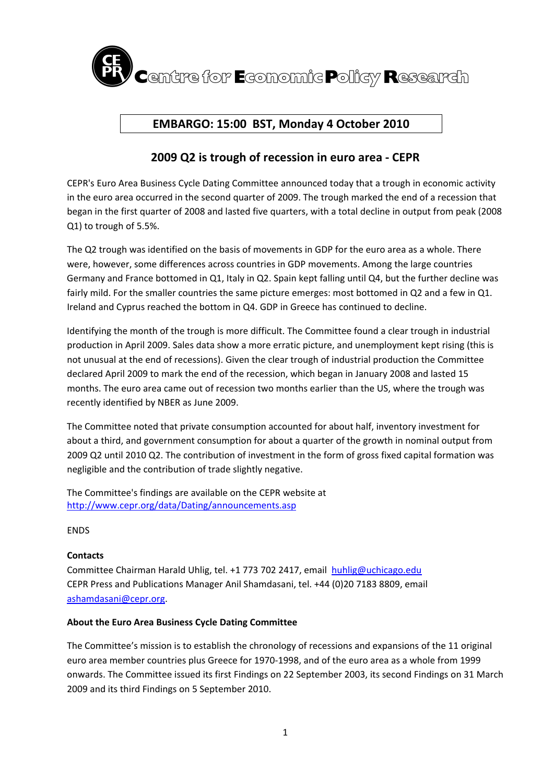

# **EMBARGO: 15:00 BST, Monday 4 October 2010**

## **2009 Q2 is trough of recession in euro area ‐ CEPR**

CEPR's Euro Area Business Cycle Dating Committee announced today that a trough in economic activity in the euro area occurred in the second quarter of 2009. The trough marked the end of a recession that began in the first quarter of 2008 and lasted five quarters, with a total decline in output from peak (2008 Q1) to trough of 5.5%.

The Q2 trough was identified on the basis of movements in GDP for the euro area as a whole. There were, however, some differences across countries in GDP movements. Among the large countries Germany and France bottomed in Q1, Italy in Q2. Spain kept falling until Q4, but the further decline was fairly mild. For the smaller countries the same picture emerges: most bottomed in Q2 and a few in Q1. Ireland and Cyprus reached the bottom in Q4. GDP in Greece has continued to decline.

Identifying the month of the trough is more difficult. The Committee found a clear trough in industrial production in April 2009. Sales data show a more erratic picture, and unemployment kept rising (this is not unusual at the end of recessions). Given the clear trough of industrial production the Committee declared April 2009 to mark the end of the recession, which began in January 2008 and lasted 15 months. The euro area came out of recession two months earlier than the US, where the trough was recently identified by NBER as June 2009.

The Committee noted that private consumption accounted for about half, inventory investment for about a third, and government consumption for about a quarter of the growth in nominal output from 2009 Q2 until 2010 Q2. The contribution of investment in the form of gross fixed capital formation was negligible and the contribution of trade slightly negative.

The Committee's findings are available on the CEPR website at http://www.cepr.org/data/Dating/announcements.asp

ENDS

### **Contacts**

Committee Chairman Harald Uhlig, tel. +1 773 702 2417, email huhlig@uchicago.edu CEPR Press and Publications Manager Anil Shamdasani, tel. +44 (0)20 7183 8809, email ashamdasani@cepr.org.

#### **About the Euro Area Business Cycle Dating Committee**

The Committee's mission is to establish the chronology of recessions and expansions of the 11 original euro area member countries plus Greece for 1970‐1998, and of the euro area as a whole from 1999 onwards. The Committee issued its first Findings on 22 September 2003, its second Findings on 31 March 2009 and its third Findings on 5 September 2010.